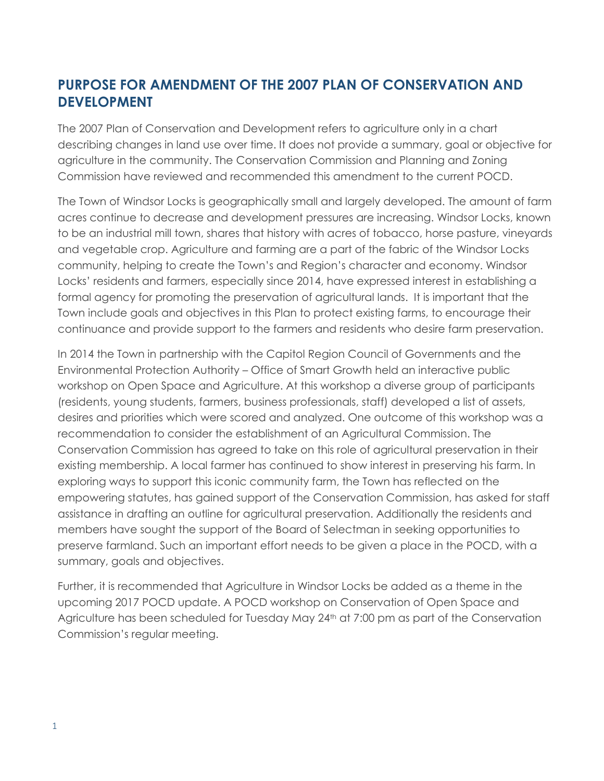# **PURPOSE FOR AMENDMENT OF THE 2007 PLAN OF CONSERVATION AND DEVELOPMENT**

The 2007 Plan of Conservation and Development refers to agriculture only in a chart describing changes in land use over time. It does not provide a summary, goal or objective for agriculture in the community. The Conservation Commission and Planning and Zoning Commission have reviewed and recommended this amendment to the current POCD.

The Town of Windsor Locks is geographically small and largely developed. The amount of farm acres continue to decrease and development pressures are increasing. Windsor Locks, known to be an industrial mill town, shares that history with acres of tobacco, horse pasture, vineyards and vegetable crop. Agriculture and farming are a part of the fabric of the Windsor Locks community, helping to create the Town's and Region's character and economy. Windsor Locks' residents and farmers, especially since 2014, have expressed interest in establishing a formal agency for promoting the preservation of agricultural lands. It is important that the Town include goals and objectives in this Plan to protect existing farms, to encourage their continuance and provide support to the farmers and residents who desire farm preservation.

In 2014 the Town in partnership with the Capitol Region Council of Governments and the Environmental Protection Authority – Office of Smart Growth held an interactive public workshop on Open Space and Agriculture. At this workshop a diverse group of participants (residents, young students, farmers, business professionals, staff) developed a list of assets, desires and priorities which were scored and analyzed. One outcome of this workshop was a recommendation to consider the establishment of an Agricultural Commission. The Conservation Commission has agreed to take on this role of agricultural preservation in their existing membership. A local farmer has continued to show interest in preserving his farm. In exploring ways to support this iconic community farm, the Town has reflected on the empowering statutes, has gained support of the Conservation Commission, has asked for staff assistance in drafting an outline for agricultural preservation. Additionally the residents and members have sought the support of the Board of Selectman in seeking opportunities to preserve farmland. Such an important effort needs to be given a place in the POCD, with a summary, goals and objectives.

Further, it is recommended that Agriculture in Windsor Locks be added as a theme in the upcoming 2017 POCD update. A POCD workshop on Conservation of Open Space and Agriculture has been scheduled for Tuesday May 24<sup>th</sup> at 7:00 pm as part of the Conservation Commission's regular meeting.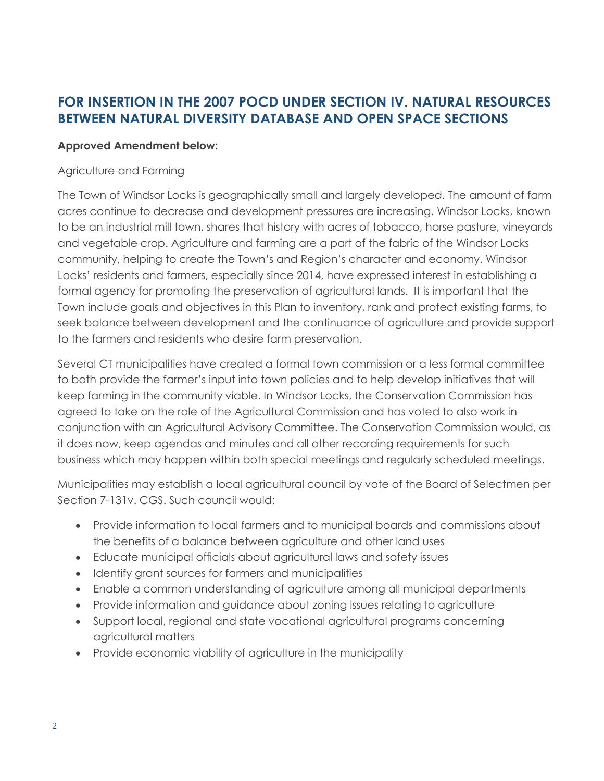## **FOR INSERTION IN THE 2007 POCD UNDER SECTION IV. NATURAL RESOURCES BETWEEN NATURAL DIVERSITY DATABASE AND OPEN SPACE SECTIONS**

#### **Approved Amendment below:**

#### Agriculture and Farming

The Town of Windsor Locks is geographically small and largely developed. The amount of farm acres continue to decrease and development pressures are increasing. Windsor Locks, known to be an industrial mill town, shares that history with acres of tobacco, horse pasture, vineyards and vegetable crop. Agriculture and farming are a part of the fabric of the Windsor Locks community, helping to create the Town's and Region's character and economy. Windsor Locks' residents and farmers, especially since 2014, have expressed interest in establishing a formal agency for promoting the preservation of agricultural lands. It is important that the Town include goals and objectives in this Plan to inventory, rank and protect existing farms, to seek balance between development and the continuance of agriculture and provide support to the farmers and residents who desire farm preservation.

Several CT municipalities have created a formal town commission or a less formal committee to both provide the farmer's input into town policies and to help develop initiatives that will keep farming in the community viable. In Windsor Locks, the Conservation Commission has agreed to take on the role of the Agricultural Commission and has voted to also work in conjunction with an Agricultural Advisory Committee. The Conservation Commission would, as it does now, keep agendas and minutes and all other recording requirements for such business which may happen within both special meetings and regularly scheduled meetings.

Municipalities may establish a local agricultural council by vote of the Board of Selectmen per Section 7-131v. CGS. Such council would:

- Provide information to local farmers and to municipal boards and commissions about the benefits of a balance between agriculture and other land uses
- Educate municipal officials about agricultural laws and safety issues
- Identify grant sources for farmers and municipalities
- Enable a common understanding of agriculture among all municipal departments
- Provide information and guidance about zoning issues relating to agriculture
- Support local, regional and state vocational agricultural programs concerning agricultural matters
- Provide economic viability of agriculture in the municipality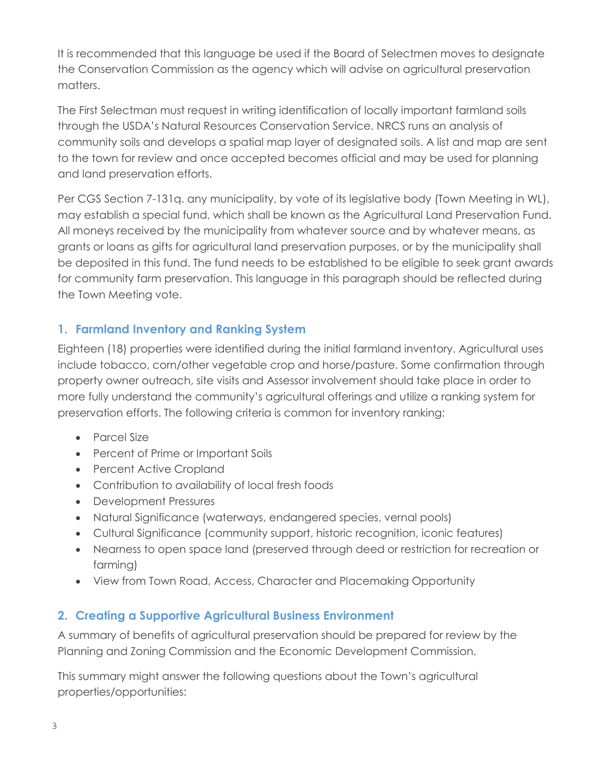It is recommended that this language be used if the Board of Selectmen moves to designate the Conservation Commission as the agency which will advise on agricultural preservation matters.

The First Selectman must request in writing identification of locally important farmland soils through the USDA's Natural Resources Conservation Service. NRCS runs an analysis of community soils and develops a spatial map layer of designated soils. A list and map are sent to the town for review and once accepted becomes official and may be used for planning and land preservation efforts.

Per CGS Section 7-131q. any municipality, by vote of its legislative body (Town Meeting in WL), may establish a special fund, which shall be known as the Agricultural Land Preservation Fund. All moneys received by the municipality from whatever source and by whatever means, as grants or loans as gifts for agricultural land preservation purposes, or by the municipality shall be deposited in this fund. The fund needs to be established to be eligible to seek grant awards for community farm preservation. This language in this paragraph should be reflected during the Town Meeting vote.

### **1. Farmland Inventory and Ranking System**

Eighteen (18) properties were identified during the initial farmland inventory. Agricultural uses include tobacco, corn/other vegetable crop and horse/pasture. Some confirmation through property owner outreach, site visits and Assessor involvement should take place in order to more fully understand the community's agricultural offerings and utilize a ranking system for preservation efforts. The following criteria is common for inventory ranking:

- Parcel Size
- Percent of Prime or Important Soils
- Percent Active Cropland
- Contribution to availability of local fresh foods
- Development Pressures
- Natural Significance (waterways, endangered species, vernal pools)
- Cultural Significance (community support, historic recognition, iconic features)
- Nearness to open space land (preserved through deed or restriction for recreation or farming)
- View from Town Road, Access, Character and Placemaking Opportunity

### **2. Creating a Supportive Agricultural Business Environment**

A summary of benefits of agricultural preservation should be prepared for review by the Planning and Zoning Commission and the Economic Development Commission.

This summary might answer the following questions about the Town's agricultural properties/opportunities: